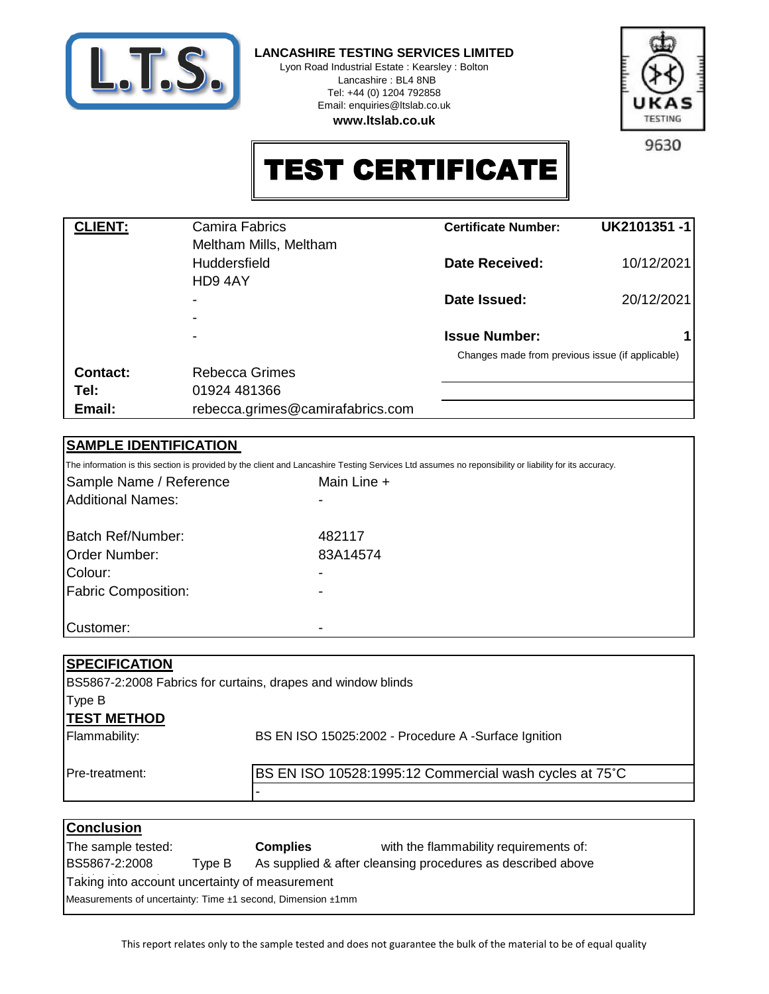

**LANCASHIRE TESTING SERVICES LIMITED**

Lyon Road Industrial Estate : Kearsley : Bolton Lancashire : BL4 8NB Tel: +44 (0) 1204 792858 Email: enquiries@ltslab.co.uk **www.ltslab.co.uk**



9630

## TEST CERTIFICATE

| <b>Camira Fabrics</b>            | <b>Certificate Number:</b> | UK2101351-1                                      |
|----------------------------------|----------------------------|--------------------------------------------------|
| Meltham Mills, Meltham           |                            |                                                  |
| <b>Huddersfield</b>              | Date Received:             | 10/12/2021                                       |
| HD9 4AY                          |                            |                                                  |
|                                  | Date Issued:               | 20/12/2021                                       |
|                                  |                            |                                                  |
|                                  | <b>Issue Number:</b>       |                                                  |
|                                  |                            |                                                  |
| <b>Rebecca Grimes</b>            |                            |                                                  |
| 01924 481366                     |                            |                                                  |
| rebecca.grimes@camirafabrics.com |                            |                                                  |
|                                  |                            | Changes made from previous issue (if applicable) |

### **SAMPLE IDENTIFICATION**

The information is this section is provided by the client and Lancashire Testing Services Ltd assumes no reponsibility or liability for its accuracy.

| Sample Name / Reference    | Main Line + |  |
|----------------------------|-------------|--|
| Additional Names:          |             |  |
| Batch Ref/Number:          | 482117      |  |
| <b>Order Number:</b>       | 83A14574    |  |
| Colour:                    |             |  |
| <b>Fabric Composition:</b> |             |  |
|                            |             |  |
| Customer:                  |             |  |

#### **SPECIFICATION**

**TEST METHOD** BS5867-2:2008 Fabrics for curtains, drapes and window blinds Type B

-

Flammability:

BS EN ISO 15025:2002 - Procedure A -Surface Ignition

Pre-treatment:

BS EN ISO 10528:1995:12 Commercial wash cycles at 75˚C

| <b>Conclusion</b>                                           |        |                                                             |                                        |  |  |
|-------------------------------------------------------------|--------|-------------------------------------------------------------|----------------------------------------|--|--|
| The sample tested:                                          |        | <b>Complies</b>                                             | with the flammability requirements of: |  |  |
| BS5867-2:2008                                               | Tvpe B | As supplied & after cleansing procedures as described above |                                        |  |  |
| Taking into account uncertainty of measurement              |        |                                                             |                                        |  |  |
| Measurements of uncertainty: Time ±1 second, Dimension ±1mm |        |                                                             |                                        |  |  |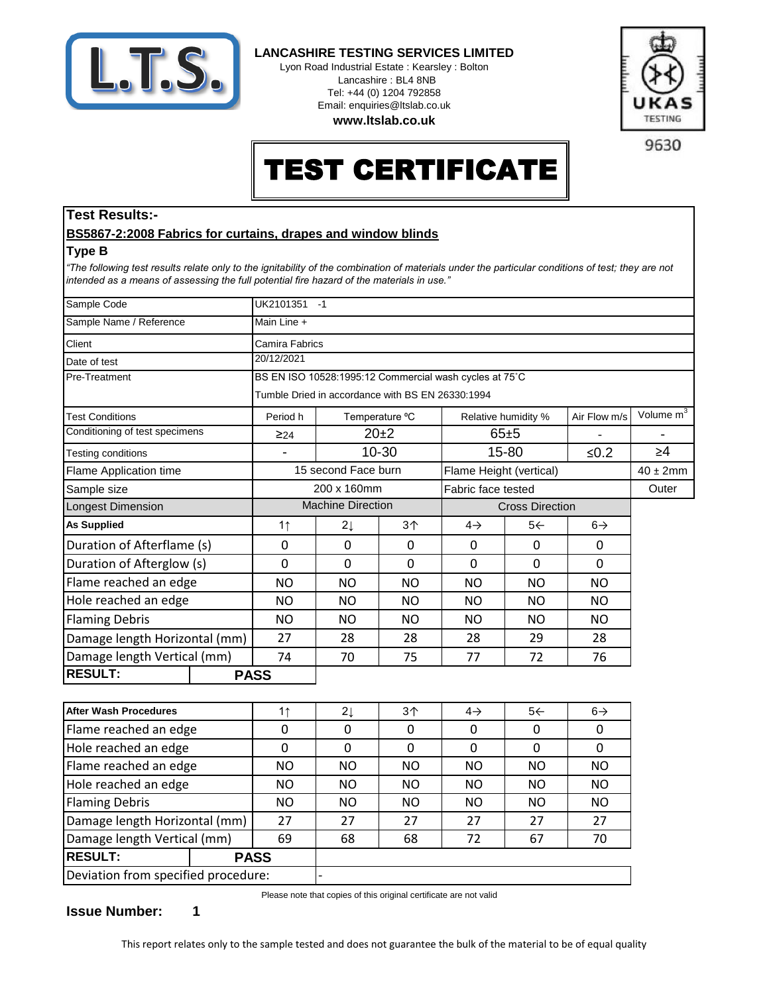

**LANCASHIRE TESTING SERVICES LIMITED**

Lyon Road Industrial Estate : Kearsley : Bolton Lancashire : BL4 8NB Tel: +44 (0) 1204 792858 Email: enquiries@ltslab.co.uk





9630

# TEST CERTIFICATE

### **Test Results:-**

#### **BS5867-2:2008 Fabrics for curtains, drapes and window blinds**

#### **Type B**

*"The following test results relate only to the ignitability of the combination of materials under the particular conditions of test; they are not intended as a means of assessing the full potential fire hazard of the materials in use."*

| Sample Code                    |  | UK2101351 -1                                           |                          |                         |                                          |                        |                |                       |  |
|--------------------------------|--|--------------------------------------------------------|--------------------------|-------------------------|------------------------------------------|------------------------|----------------|-----------------------|--|
| Sample Name / Reference        |  | Main Line +                                            |                          |                         |                                          |                        |                |                       |  |
| Client                         |  | Camira Fabrics                                         |                          |                         |                                          |                        |                |                       |  |
| Date of test                   |  | 20/12/2021                                             |                          |                         |                                          |                        |                |                       |  |
| <b>Pre-Treatment</b>           |  | BS EN ISO 10528:1995:12 Commercial wash cycles at 75°C |                          |                         |                                          |                        |                |                       |  |
|                                |  | Tumble Dried in accordance with BS EN 26330:1994       |                          |                         |                                          |                        |                |                       |  |
| <b>Test Conditions</b>         |  | Period h                                               |                          | Temperature °C          |                                          | Relative humidity %    | Air Flow m/s   | Volume m <sup>3</sup> |  |
| Conditioning of test specimens |  | $\geq 24$                                              |                          | $20+2$                  |                                          | $65 + 5$               |                |                       |  |
| Testing conditions             |  |                                                        |                          | 10-30                   |                                          | 15-80                  | $≤0.2$         | $\geq 4$              |  |
| Flame Application time         |  | 15 second Face burn                                    |                          | Flame Height (vertical) |                                          |                        | $40 \pm 2$ mm  |                       |  |
| Sample size                    |  | 200 x 160mm                                            |                          | Fabric face tested      |                                          |                        | Outer          |                       |  |
| Longest Dimension              |  |                                                        | <b>Machine Direction</b> |                         |                                          | <b>Cross Direction</b> |                |                       |  |
| <b>As Supplied</b>             |  | 1 <sub>1</sub>                                         | $2\downarrow$            | 3 <sub>1</sub>          | $5 \leftarrow$<br>$4\rightarrow$         |                        | $6\rightarrow$ |                       |  |
| Duration of Afterflame (s)     |  | 0                                                      | 0                        | $\Omega$                | $\Omega$<br>$\Omega$<br>$\Omega$         |                        |                |                       |  |
| Duration of Afterglow (s)      |  | $\mathbf 0$                                            | 0                        | 0                       | $\Omega$                                 | $\mathbf{0}$           | $\Omega$       |                       |  |
| Flame reached an edge          |  | <b>NO</b>                                              | <b>NO</b>                | <b>NO</b>               | <b>NO</b><br>N <sub>O</sub><br><b>NO</b> |                        |                |                       |  |
| Hole reached an edge           |  | <b>NO</b>                                              | N <sub>O</sub>           | NO.                     | <b>NO</b><br><b>NO</b><br><b>NO</b>      |                        |                |                       |  |
| <b>Flaming Debris</b>          |  | <b>NO</b>                                              | <b>NO</b>                | <b>NO</b>               | <b>NO</b><br><b>NO</b>                   |                        | <b>NO</b>      |                       |  |
| Damage length Horizontal (mm)  |  | 27<br>28<br>28                                         |                          | 28                      | 29                                       | 28                     |                |                       |  |
| Damage length Vertical (mm)    |  | 74                                                     | 70                       | 75                      | 77                                       | 72                     | 76             |                       |  |
| <b>RESULT:</b>                 |  | <b>PASS</b>                                            |                          |                         |                                          |                        |                |                       |  |
|                                |  |                                                        |                          |                         |                                          |                        |                |                       |  |
| <b>After Wash Procedures</b>   |  | 1 <sub>1</sub>                                         | 21                       | 3 <sub>1</sub>          | $4\rightarrow$                           | $5+$                   | $6\rightarrow$ |                       |  |

| <b>After Wash Procedures</b>        |             |           | $2\downarrow$ | 3 <sub>1</sub> | $4\rightarrow$ | 5<             | $6\rightarrow$ |
|-------------------------------------|-------------|-----------|---------------|----------------|----------------|----------------|----------------|
| Flame reached an edge               |             |           |               |                |                | 0              |                |
| Hole reached an edge                |             |           |               |                |                | 0              |                |
| Flame reached an edge               |             | <b>NO</b> | <b>NO</b>     | <b>NO</b>      | <b>NO</b>      | <b>NO</b>      | <b>NO</b>      |
| Hole reached an edge                |             | <b>NO</b> | <b>NO</b>     | <b>NO</b>      | <b>NO</b>      | <b>NO</b>      | <b>NO</b>      |
| <b>Flaming Debris</b>               |             | <b>NO</b> | NO.           | <b>NO</b>      | NO.            | N <sub>O</sub> | <b>NO</b>      |
| Damage length Horizontal (mm)       |             | 27        | 27            | 27             | 27             | 27             | 27             |
| Damage length Vertical (mm)         |             | 69        | 68            | 68             | 72             | 67             | 70             |
| <b>RESULT:</b>                      | <b>PASS</b> |           |               |                |                |                |                |
| Deviation from specified procedure: |             |           |               |                |                |                |                |

Please note that copies of this original certificate are not valid

**Issue Number: 1**

This report relates only to the sample tested and does not guarantee the bulk of the material to be of equal quality